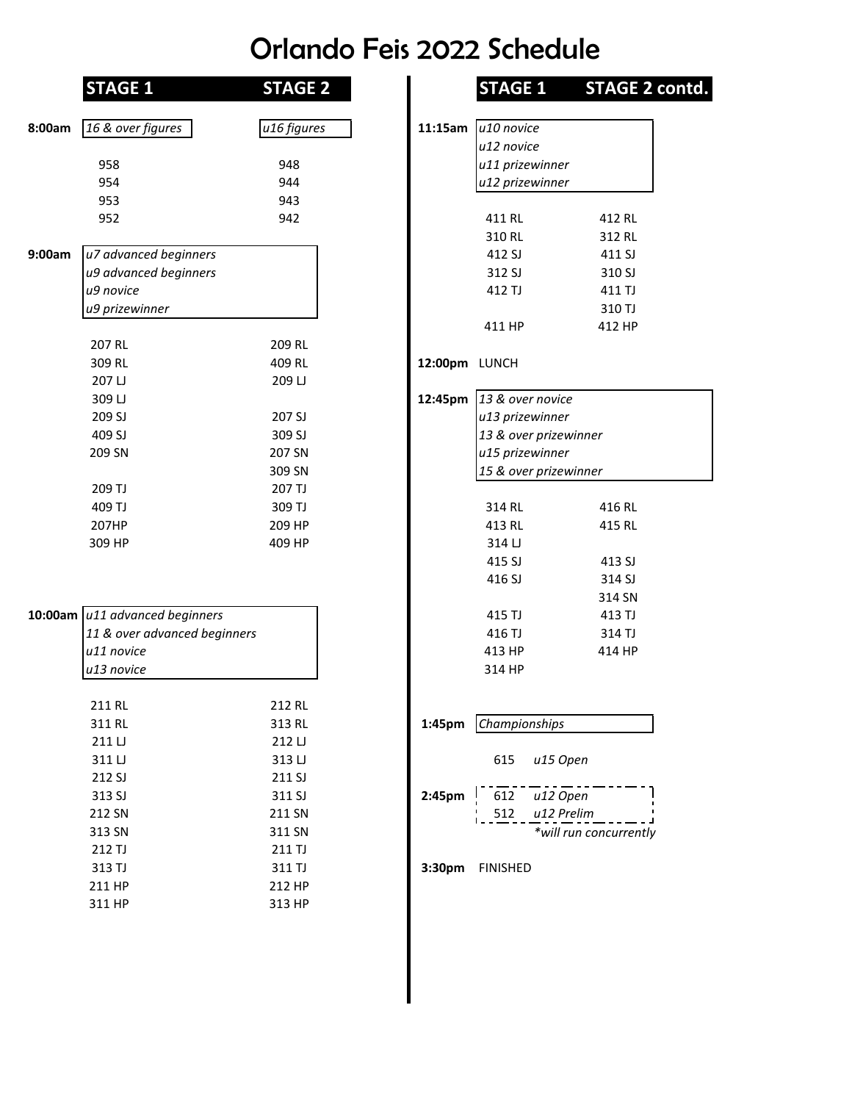## Orlando Feis 2022 Schedule

|        | <b>STAGE 1</b>                 | <b>STAGE 2</b> |                    | <b>STAGE 1</b>        | <b>STAGE 2</b>         |
|--------|--------------------------------|----------------|--------------------|-----------------------|------------------------|
| 8:00am | 16 & over figures              | u16 figures    | 11:15am            | u10 novice            |                        |
|        |                                |                |                    | u12 novice            |                        |
|        | 958                            | 948            |                    | u11 prizewinner       |                        |
|        | 954                            | 944            |                    | u12 prizewinner       |                        |
|        | 953                            | 943            |                    |                       |                        |
|        | 952                            | 942            |                    | 411 RL                | 412 RL                 |
|        |                                |                |                    | 310 RL                | 312 RL                 |
| 9:00am | u7 advanced beginners          |                |                    | 412 SJ                | 411 SJ                 |
|        | u9 advanced beginners          |                |                    | 312 SJ                | 310 SJ                 |
|        | u9 novice                      |                |                    | 412 TJ                | 411 TJ                 |
|        | u9 prizewinner                 |                |                    |                       | 310 TJ                 |
|        |                                |                |                    | 411 HP                | 412 HP                 |
|        | 207 RL                         | 209 RL         |                    |                       |                        |
|        | 309 RL                         | 409 RL         | 12:00pm LUNCH      |                       |                        |
|        | 207 LJ                         | 209 LJ         |                    |                       |                        |
|        | 309 LJ                         |                | 12:45pm            | 13 & over novice      |                        |
|        | 209 SJ                         | 207 SJ         |                    | u13 prizewinner       |                        |
|        | 409 SJ                         | 309 SJ         |                    | 13 & over prizewinner |                        |
|        | 209 SN                         | 207 SN         |                    | u15 prizewinner       |                        |
|        |                                | 309 SN         |                    | 15 & over prizewinner |                        |
|        | 209 TJ                         | 207 TJ         |                    |                       |                        |
|        | 409 TJ                         | 309 TJ         |                    | 314 RL                | 416 RL                 |
|        | 207HP                          | 209 HP         |                    | 413 RL                | 415 RL                 |
|        | 309 HP                         | 409 HP         |                    | 314 LJ                |                        |
|        |                                |                |                    | 415 SJ                | 413 SJ                 |
|        |                                |                |                    | 416 SJ                | 314 SJ                 |
|        |                                |                |                    |                       | 314 SN                 |
|        | 10:00am u11 advanced beginners |                |                    | 415 TJ                | 413 TJ                 |
|        | 11 & over advanced beginners   |                |                    | 416 TJ                | 314 TJ                 |
|        | u11 novice                     |                |                    | 413 HP                | 414 HP                 |
|        | u13 novice                     |                |                    | 314 HP                |                        |
|        | 211 RL                         | 212 RL         |                    |                       |                        |
|        | 311 RL                         | 313 RL         | 1:45 <sub>pm</sub> | Championships         |                        |
|        | 211 LJ                         | 212 LJ         |                    |                       |                        |
|        | 311 LJ                         | 313 LJ         |                    | 615<br>u15 Open       |                        |
|        | 212 SJ                         | 211 SJ         |                    |                       |                        |
|        | 313 SJ                         | 311 SJ         | 2:45pm             | u12 Open<br>612       |                        |
|        | 212 SN                         | 211 SN         |                    | u12 Prelim<br>512     |                        |
|        | 313 SN                         | 311 SN         |                    |                       | *will run concurrently |
|        | 212 TJ                         | 211 TJ         |                    |                       |                        |
|        | 313 TJ                         | 311 TJ         | 3:30pm             | <b>FINISHED</b>       |                        |
|        | 211 HP                         | 212 HP         |                    |                       |                        |
|        | 311 HP                         | 313 HP         |                    |                       |                        |

| <b>STAGE 1</b>               | <b>STAGE 2</b>   |                    |                        | STAGE 1 STAGE 2 contd. |
|------------------------------|------------------|--------------------|------------------------|------------------------|
| 16 & over figures            | u16 figures      | 11:15am            | u <sub>10</sub> novice |                        |
|                              |                  |                    | u12 novice             |                        |
|                              | 948              |                    | u11 prizewinner        |                        |
|                              | 944              |                    | u12 prizewinner        |                        |
|                              | 943              |                    |                        |                        |
|                              | 942              |                    | 411 RL                 | 412 RL                 |
|                              |                  |                    | 310 RL                 | 312 RL                 |
| u7 advanced beginners        |                  |                    | 412 SJ                 | 411 SJ                 |
| u9 advanced beginners        |                  |                    | 312 SJ                 |                        |
| u9 novice                    |                  |                    |                        | 310 SJ                 |
|                              |                  |                    | 412 TJ                 | 411 TJ                 |
| u9 prizewinner               |                  |                    |                        | 310 TJ                 |
|                              |                  |                    | 411 HP                 | 412 HP                 |
|                              | 209 RL           |                    |                        |                        |
|                              | 409 RL           | 12:00pm LUNCH      |                        |                        |
|                              | 209 LJ           |                    |                        |                        |
|                              |                  | 12:45pm            | 13 & over novice       |                        |
|                              | 207 SJ           |                    | u13 prizewinner        |                        |
|                              | 309 SJ           |                    | 13 & over prizewinner  |                        |
|                              | 207 SN           |                    | u15 prizewinner        |                        |
|                              | 309 SN           |                    | 15 & over prizewinner  |                        |
|                              | 207 TJ           |                    |                        |                        |
|                              | 309 TJ           |                    | 314 RL                 | 416 RL                 |
|                              | 209 HP           |                    | 413 RL                 | 415 RL                 |
|                              | 409 HP           |                    | 314 LJ                 |                        |
|                              |                  |                    | 415 SJ                 | 413 SJ                 |
|                              |                  |                    | 416 SJ                 | 314 SJ                 |
|                              |                  |                    |                        | 314 SN                 |
| u11 advanced beginners       |                  |                    | 415 TJ                 | 413 TJ                 |
| 11 & over advanced beginners |                  |                    | 416 TJ                 | 314 TJ                 |
| u11 novice                   |                  |                    | 413 HP                 | 414 HP                 |
| u13 novice                   |                  |                    | 314 HP                 |                        |
|                              |                  |                    |                        |                        |
|                              | 212 RL           |                    |                        |                        |
|                              | 313 RL           | 1:45 <sub>pm</sub> | Championships          |                        |
|                              | 212 LJ           |                    |                        |                        |
|                              | 313 LJ           |                    | 615                    | u15 Open               |
|                              | 211 SJ           |                    |                        |                        |
|                              | 311 SJ           | 2:45pm             | 612                    | u12 Open               |
|                              | 211 SN           |                    | 512                    | u12 Prelim             |
|                              | 311 SN           |                    |                        | *will run concurrently |
|                              |                  |                    |                        |                        |
|                              | 211 TJ           |                    |                        |                        |
|                              | 311 TJ           | 3:30pm             | <b>FINISHED</b>        |                        |
|                              | 212 HP<br>313 HP |                    |                        |                        |
|                              |                  |                    |                        |                        |